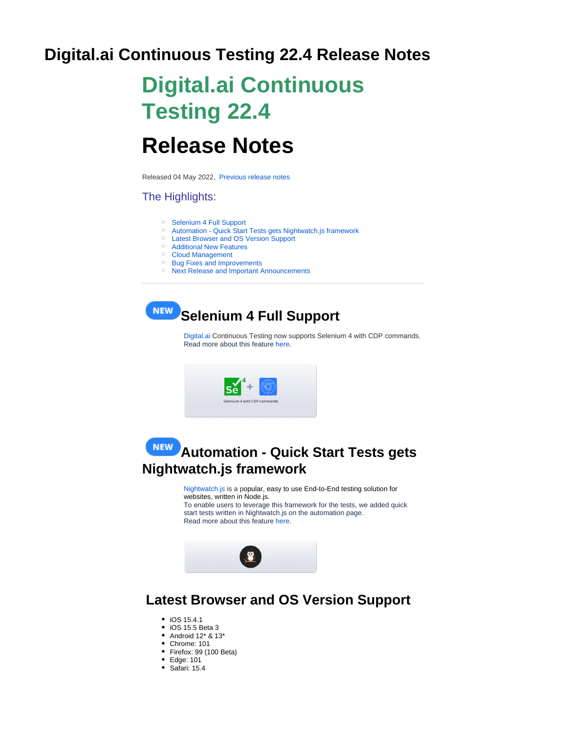## **Digital.ai Continuous Testing 22.4 Release Notes**

# **Digital.ai Continuous Testing 22.4**

# **Release Notes**

Released 04 May 2022, [Previous release notes](https://docs.experitest.com/display/RN)

#### The Highlights:

- <sup>o</sup> [Selenium 4 Full Support](#page-0-0)
- [Automation Quick Start Tests gets Nightwatch.js framework](#page-0-1)
- [Latest Browser and OS Version Support](#page-0-2)
- [Additional New Features](#page-1-0)
- <sup>o</sup> Cloud Management
- <sup>o</sup> [Bug Fixes and Improvements](#page-1-2)
- <sup>o</sup> [Next Release and Important Announcements](#page-1-3)

<span id="page-0-0"></span>

[Digital.ai](https://digital.ai/continuous-testing) Continuous Testing now supports Selenium 4 with CDP commands. Read more about this feature [here.](https://docs.experitest.com/display/TE/CDP+Support)



## <span id="page-0-1"></span>**Automation - Quick Start Tests gets Nightwatch.js framework**

[Nightwatch.js](https://nightwatchjs.org/) is a popular, easy to use End-to-End testing solution for websites, written in Node.js. To enable users to leverage this framework for the tests, we added quick start tests written in Nightwatch.js on the automation page. Read more about this feature [here.](https://docs.experitest.com/display/TE/Grid+Execution+with+NightWatchJS)



## <span id="page-0-2"></span> **Latest Browser and OS Version Support**

- iOS 15.4.1
- iOS 15.5 Beta 3
- Android 12\* & 13\*
- Chrome: 101
- Firefox: 99 (100 Beta)
- Edge: 101
- $\bullet$  Safari: 15.4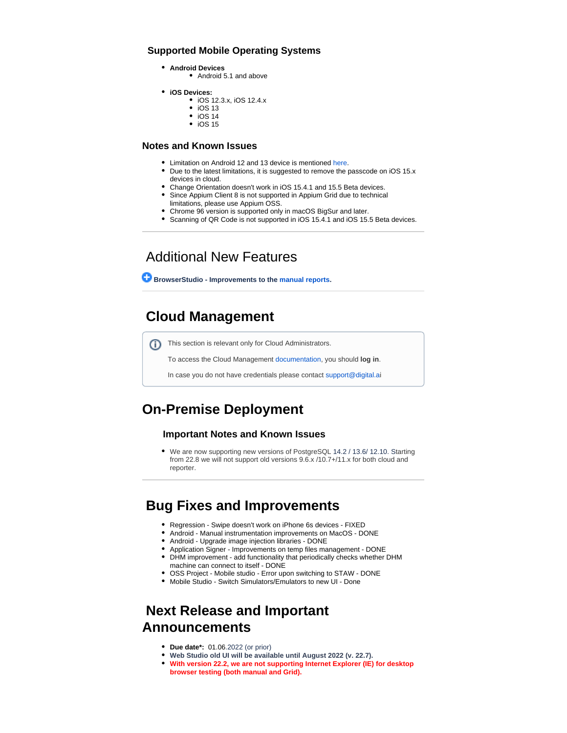#### **Supported Mobile Operating Systems**

- **Android Devices**
	- Android 5.1 and above
- **iOS Devices:**
	- iOS 12.3.x, iOS 12.4.x
		- $\bullet$  iOS 13
		- $\bullet$  iOS 14  $\bullet$  iOS 15
		-

#### **Notes and Known Issues**

- Limitation on Android 12 and 13 device is mentioned [here.](https://docs.experitest.com/display/LT/Limitations+on+Android+devices)
- Due to the latest limitations, it is suggested to remove the passcode on iOS 15.x devices in cloud.
- Change Orientation doesn't work in iOS 15.4.1 and 15.5 Beta devices.
- Since Appium Client 8 is not supported in Appium Grid due to technical
	- limitations, please use Appium OSS.
- Chrome 96 version is supported only in macOS BigSur and later.
- Scanning of QR Code is not supported in iOS 15.4.1 and iOS 15.5 Beta devices.

### Additional New Features

<span id="page-1-0"></span> **BrowserStudio - Improvements to the [manual reports](https://docs.experitest.com/display/LT/Browser+-+Manual+Reports).**

## <span id="page-1-1"></span> **Cloud Management**

This section is relevant only for Cloud Administrators. ⋒

To access the Cloud Management documentation, you should **log in**.

In case you do not have credentials please contact [support@digital.a](mailto:support@digital.ao)i

## **On-Premise Deployment**

#### **Important Notes and Known Issues**

We are now supporting new versions of PostgreSQL 14.2 / 13.6/ 12.10. Starting from 22.8 we will not support old versions 9.6.x /10.7+/11.x for both cloud and reporter.

### <span id="page-1-2"></span> **Bug Fixes and Improvements**

- Regression Swipe doesn't work on iPhone 6s devices FIXED
- Android Manual instrumentation improvements on MacOS DONE
- Android Upgrade image injection libraries DONE
- Application Signer Improvements on temp files management DONE
- DHM improvement add functionality that periodically checks whether DHM machine can connect to itself - DONE
- OSS Project Mobile studio Error upon switching to STAW DONE
- Mobile Studio Switch Simulators/Emulators to new UI Done

## <span id="page-1-3"></span> **Next Release and Important Announcements**

- **Due date\*:** 01.06.2022 (or prior)
- **Web Studio old UI will be available until August 2022 (v. 22.7).**
- **With version 22.2, we are not supporting Internet Explorer (IE) for desktop browser testing (both manual and Grid).**